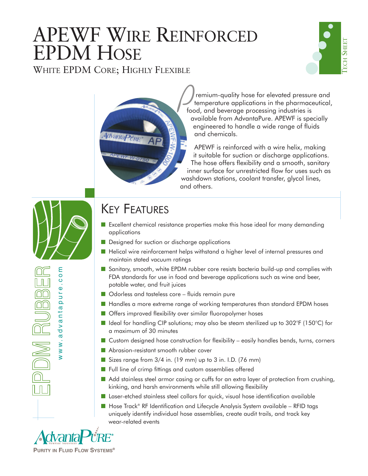# APEWF WIRE REINFORCED EPDM HOSE

WHITE EPDM CORE; HIGHLY FLEXIBLE





remium-quality hose for elevated pressure and temperature applications in the pharmaceutical, food, and beverage processing industries is available from AdvantaPure. APEWF is specially engineered to handle a wide range of fluids and chemicals.

APEWF is reinforced with a wire helix, making it suitable for suction or discharge applications. The hose offers flexibility and a smooth, sanitary inner surface for unrestricted flow for uses such as washdown stations, coolant transfer, glycol lines, and others.

mo www.advantapure.com  $\circ$  $\Phi$ **DMRUBB** pur dvanta  $\mathbf{\alpha}$  $W$  W .

### KEY FEATURES

- Excellent chemical resistance properties make this hose ideal for many demanding applications
- Designed for suction or discharge applications
- Helical wire reinforcement helps withstand a higher level of internal pressures and maintain stated vacuum ratings
- Sanitary, smooth, white EPDM rubber core resists bacteria build-up and complies with FDA standards for use in food and beverage applications such as wine and beer, potable water, and fruit juices
- Odorless and tasteless core fluids remain pure
- Handles a more extreme range of working temperatures than standard EPDM hoses
- Offers improved flexibility over similar fluoropolymer hoses
- Ideal for handling CIP solutions; may also be steam sterilized up to 302°F (150°C) for a maximum of 30 minutes
- Custom designed hose construction for flexibility easily handles bends, turns, corners
- Abrasion-resistant smooth rubber cover
- Sizes range from 3/4 in. (19 mm) up to 3 in. I.D. (76 mm)
- Full line of crimp fittings and custom assemblies offered
- Add stainless steel armor casing or cuffs for an extra layer of protection from crushing, kinking, and harsh environments while still allowing flexibility
- Laser-etched stainless steel collars for quick, visual hose identification available
- Hose Track® RF Identification and Lifecycle Analysis System available RFID tags uniquely identify individual hose assemblies, create audit trails, and track key wear-related events